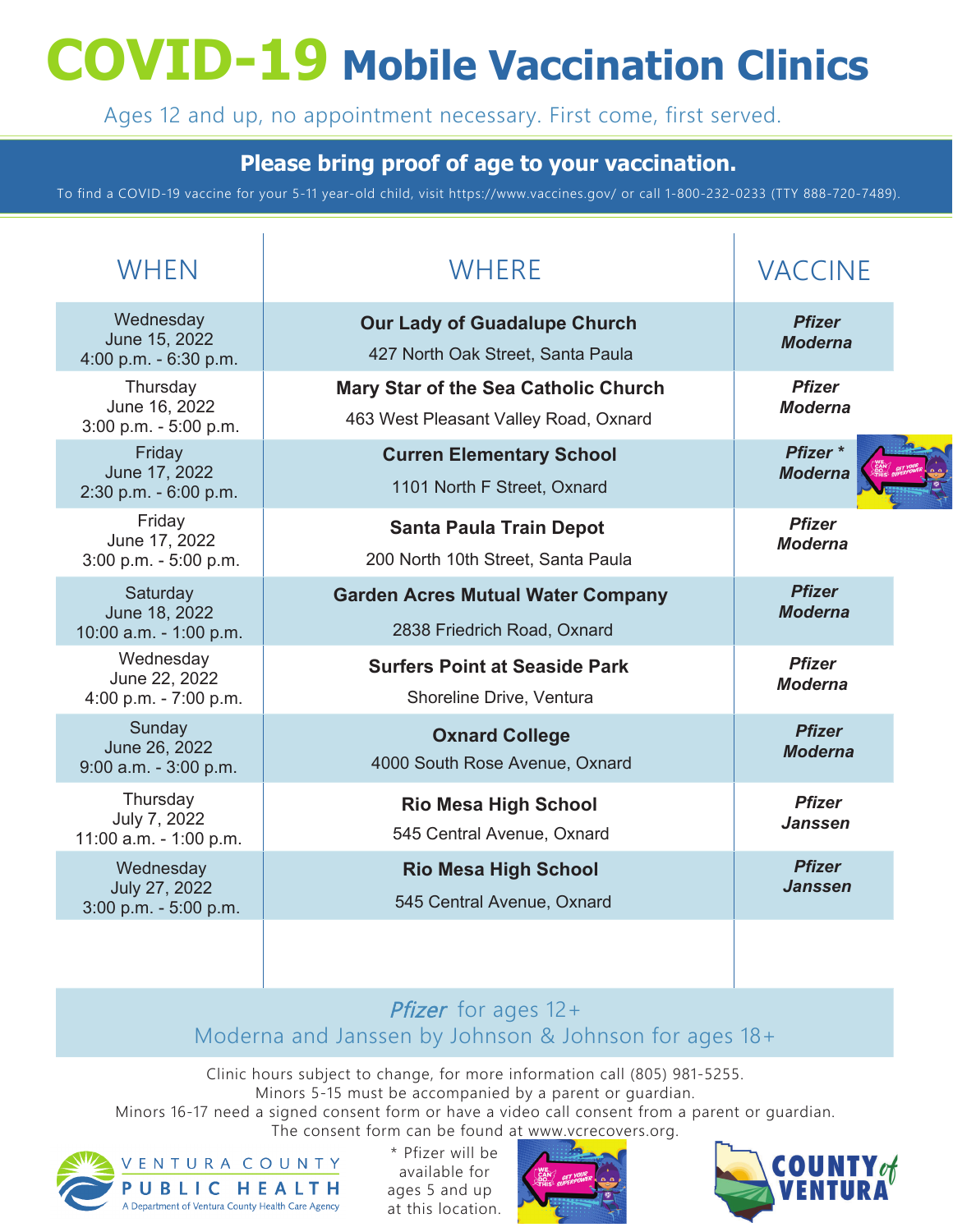# **COVID-19 Mobile Vaccination Clinics**

Ages 12 and up, no appointment necessary. First come, first served.

### **Please bring proof of age to your vaccination.**

To find a COVID-19 vaccine for your 5-11 year-old child, visit https://www.vaccines.gov/ or call 1-800-232-0233 (TTY 888-720-7489).

| WHEN                                                 | <b>WHERE</b>                                                                         | <b>VACCINE</b>                        |  |
|------------------------------------------------------|--------------------------------------------------------------------------------------|---------------------------------------|--|
| Wednesday<br>June 15, 2022<br>4:00 p.m. - 6:30 p.m.  | <b>Our Lady of Guadalupe Church</b><br>427 North Oak Street, Santa Paula             | <b>Pfizer</b><br><b>Moderna</b>       |  |
| Thursday<br>June 16, 2022<br>3:00 p.m. - 5:00 p.m.   | <b>Mary Star of the Sea Catholic Church</b><br>463 West Pleasant Valley Road, Oxnard | <b>Pfizer</b><br><b>Moderna</b>       |  |
| Friday<br>June 17, 2022<br>2:30 p.m. - 6:00 p.m.     | <b>Curren Elementary School</b><br>1101 North F Street, Oxnard                       | Pfizer <sup>*</sup><br><b>Moderna</b> |  |
| Friday<br>June 17, 2022<br>3:00 p.m. - 5:00 p.m.     | <b>Santa Paula Train Depot</b><br>200 North 10th Street, Santa Paula                 | <b>Pfizer</b><br><b>Moderna</b>       |  |
| Saturday<br>June 18, 2022<br>10:00 a.m. - 1:00 p.m.  | <b>Garden Acres Mutual Water Company</b><br>2838 Friedrich Road, Oxnard              | <b>Pfizer</b><br><b>Moderna</b>       |  |
| Wednesday<br>June 22, 2022<br>4:00 p.m. - 7:00 p.m.  | <b>Surfers Point at Seaside Park</b><br>Shoreline Drive, Ventura                     | <b>Pfizer</b><br><b>Moderna</b>       |  |
| Sunday<br>June 26, 2022<br>$9:00$ a.m. - $3:00$ p.m. | <b>Oxnard College</b><br>4000 South Rose Avenue, Oxnard                              | <b>Pfizer</b><br><b>Moderna</b>       |  |
| Thursday<br>July 7, 2022<br>11:00 a.m. - 1:00 p.m.   | <b>Rio Mesa High School</b><br>545 Central Avenue, Oxnard                            | <b>Pfizer</b><br><b>Janssen</b>       |  |
| Wednesday<br>July 27, 2022<br>3:00 p.m. - 5:00 p.m.  | <b>Rio Mesa High School</b><br>545 Central Avenue, Oxnard                            | <b>Pfizer</b><br>Janssen              |  |
|                                                      |                                                                                      |                                       |  |

### Pfizer for ages  $12+$ Moderna and Janssen by Johnson & Johnson for ages 18+

Clinic hours subject to change, for more information call (805) 981-5255. Minors 5-15 must be accompanied by a parent or guardian. Minors 16-17 need a signed consent form or have a video call consent from a parent or guardian. The consent form can be found at www.vcrecovers.org.



\* Pfizer will be available for ages 5 and up at this location.